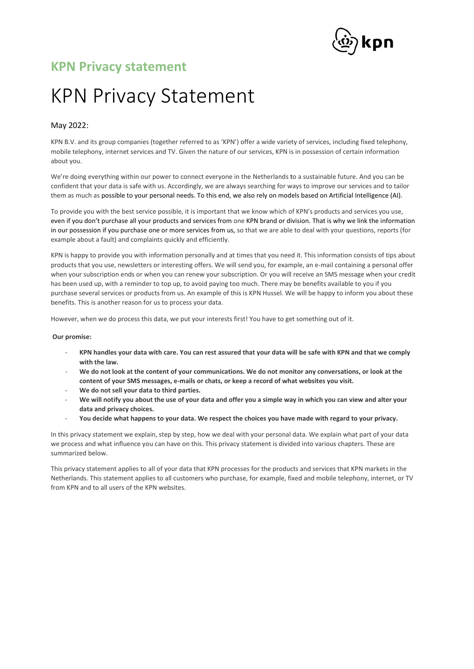

# KPN Privacy Statement

## May 2022:

KPN B.V. and its group companies (together referred to as 'KPN') offer a wide variety of services, including fixed telephony, mobile telephony, internet services and TV. Given the nature of our services, KPN is in possession of certain information about you.

We're doing everything within our power to connect everyone in the Netherlands to a sustainable future. And you can be confident that your data is safe with us. Accordingly, we are always searching for ways to improve our services and to tailor them as much as possible to your personal needs. To this end, we also rely on models based on Artificial Intelligence (AI).

To provide you with the best service possible, it is important that we know which of KPN's products and services you use, even if you don't purchase all your products and services from one KPN brand or division. That is why we link the information in our possession if you purchase one or more services from us, so that we are able to deal with your questions, reports (for example about a fault) and complaints quickly and efficiently.

KPN is happy to provide you with information personally and at times that you need it. This information consists of tips about products that you use, newsletters or interesting offers. We will send you, for example, an e-mail containing a personal offer when your subscription ends or when you can renew your subscription. Or you will receive an SMS message when your credit has been used up, with a reminder to top up, to avoid paying too much. There may be benefits available to you if you purchase several services or products from us. An example of this is KPN Hussel. We will be happy to inform you about these benefits. This is another reason for us to process your data.

However, when we do process this data, we put your interests first! You have to get something out of it.

### **Our promise:**

- **KPN handles your data with care. You can rest assured that your data will be safe with KPN and that we comply with the law.**
- We do not look at the content of your communications. We do not monitor any conversations, or look at the **content of your SMS messages, e-mails or chats, or keep a record of what websites you visit.**
- **We do not sell your data to third parties.**
- We will notify you about the use of your data and offer you a simple way in which you can view and alter your **data and privacy choices.**
- **You decide what happens to your data. We respect the choices you have made with regard to your privacy.**

In this privacy statement we explain, step by step, how we deal with your personal data. We explain what part of your data we process and what influence you can have on this. This privacy statement is divided into various chapters. These are summarized below.

This privacy statement applies to all of your data that KPN processes for the products and services that KPN markets in the Netherlands. This statement applies to all customers who purchase, for example, fixed and mobile telephony, internet, or TV from KPN and to all users of the KPN websites.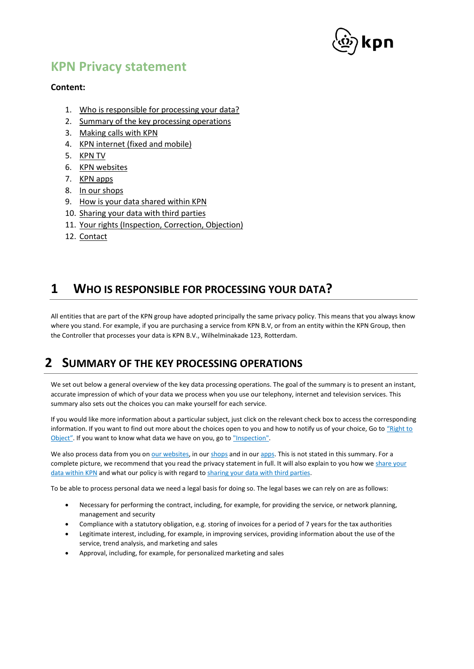

## **Content:**

- 1. [Who is responsible for processing your data?](#page-1-0)
- 2. [Summary of the key processing operations](#page-1-1)
- 3. [Making calls with](#page-3-0) KPN
- 4. [KPN internet \(fixed and mobile\)](#page-8-0)
- 5. [KPN TV](#page-11-0)
- 6. [KPN websites](#page-15-0)
- 7. [KPN apps](#page-16-0)
- 8. [In our shops](#page-17-0)
- 9. [How is your data shared within KPN](#page-17-1)
- 10. [Sharing your data with third parties](#page-18-0)
- 11. [Your rights \(Inspection, Correction, Objection\)](#page-20-0)
- 12. [Contact](#page-22-0)

# <span id="page-1-0"></span>**1 WHO IS RESPONSIBLE FOR PROCESSING YOUR DATA?**

All entities that are part of the KPN group have adopted principally the same privacy policy. This means that you always know where you stand. For example, if you are purchasing a service from KPN B.V, or from an entity within the KPN Group, then the Controller that processes your data is KPN B.V., Wilhelminakade 123, Rotterdam.

# <span id="page-1-1"></span>**2 SUMMARY OF THE KEY PROCESSING OPERATIONS**

We set out below a general overview of the key data processing operations. The goal of the summary is to present an instant, accurate impression of which of your data we process when you use our telephony, internet and television services. This summary also sets out the choices you can make yourself for each service.

If you would like more information about a particular subject, just click on the relevant check box to access the corresponding information. If you want to find out more about the choices open to you and how to notify us of your choice, Go to "Right to [Object"](#page-21-0). If you want to know what data we have on you, go t[o "Inspection".](#page-20-1)

We also process data from you o[n our websites,](#page-15-0) in our [shops](#page-17-0) and in ou[r apps.](#page-16-0) This is not stated in this summary. For a complete picture, we recommend that you read the privacy statement in full. It will also explain to you how we share your [data within KPN](#page-17-1) and what our policy is with regard t[o sharing your data with third parties.](#page-18-0)

To be able to process personal data we need a legal basis for doing so. The legal bases we can rely on are as follows:

- Necessary for performing the contract, including, for example, for providing the service, or network planning, management and security
- Compliance with a statutory obligation, e.g. storing of invoices for a period of 7 years for the tax authorities
- Legitimate interest, including, for example, in improving services, providing information about the use of the service, trend analysis, and marketing and sales
- Approval, including, for example, for personalized marketing and sales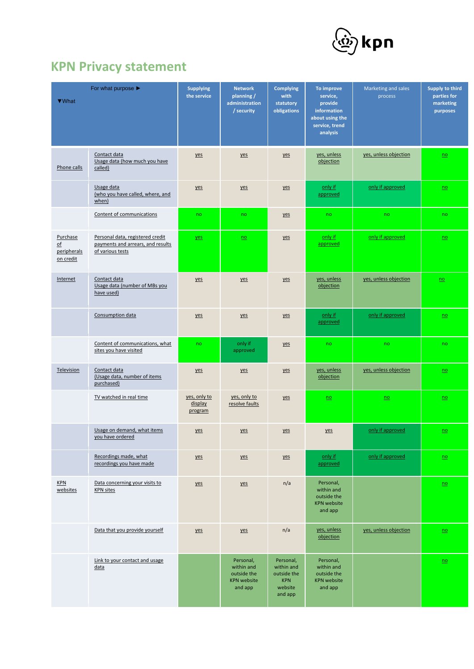

| ▼ What                                                            | For what purpose $\blacktriangleright$                                                    | <b>Supplying</b><br>the service    | <b>Network</b><br>planning /<br>administration<br>/ security            | <b>Complying</b><br>with<br>statutory<br>obligations                       | To improve<br>service,<br>provide<br>information<br>about using the<br>service, trend<br>analysis | Marketing and sales<br>process | Supply to third<br>parties for<br>marketing<br>purposes |
|-------------------------------------------------------------------|-------------------------------------------------------------------------------------------|------------------------------------|-------------------------------------------------------------------------|----------------------------------------------------------------------------|---------------------------------------------------------------------------------------------------|--------------------------------|---------------------------------------------------------|
| Phone calls                                                       | Contact data<br>Usage data (how much you have<br>called)                                  | yes                                | yes                                                                     | yes                                                                        | yes, unless<br>objection                                                                          | yes, unless objection          | $\underline{no}$                                        |
|                                                                   | Usage data<br>(who you have called, where, and<br>when)                                   | yes                                | yes                                                                     | yes                                                                        | only if<br>approved                                                                               | only if approved               | $\underline{no}$                                        |
|                                                                   | Content of communications                                                                 | no                                 | no                                                                      | yes                                                                        | no                                                                                                | no                             | no                                                      |
| Purchase<br>$\underline{\mathsf{of}}$<br>peripherals<br>on credit | Personal data, registered credit<br>payments and arrears, and results<br>of various tests | yes                                | $\underline{no}$                                                        | yes                                                                        | only if<br>approved                                                                               | only if approved               | $\underline{no}$                                        |
| Internet                                                          | Contact data<br>Usage data (number of MBs you<br>have used)                               | yes                                | yes                                                                     | yes                                                                        | yes, unless<br>objection                                                                          | yes, unless objection          | n <sub>o</sub>                                          |
|                                                                   | Consumption data                                                                          | yes                                | yes                                                                     | yes                                                                        | only if<br>approved                                                                               | only if approved               | $\underline{no}$                                        |
|                                                                   | Content of communications, what<br>sites you have visited                                 | no                                 | only if<br>approved                                                     | yes                                                                        | no                                                                                                | no                             | no                                                      |
| Television                                                        | Contact data<br>(Usage data, number of items<br>purchased)                                | yes                                | yes                                                                     | yes                                                                        | yes, unless<br>objection                                                                          | yes, unless objection          | $\underline{no}$                                        |
|                                                                   | TV watched in real time                                                                   | yes, only to<br>display<br>program | yes, only to<br>resolve faults                                          | yes                                                                        | $\underline{no}$                                                                                  | $\underline{no}$               | $\underline{no}$                                        |
|                                                                   | Usage on demand, what items<br>you have ordered                                           | yes                                | yes                                                                     | yes                                                                        | yes                                                                                               | only if approved               | $\underline{no}$                                        |
|                                                                   | Recordings made, what<br>recordings you have made                                         | yes                                | yes                                                                     | yes                                                                        | only if<br>approved                                                                               | only if approved               | $\underline{no}$                                        |
| KPN<br>websites                                                   | Data concerning your visits to<br><b>KPN</b> sites                                        | yes                                | yes                                                                     | n/a                                                                        | Personal,<br>within and<br>outside the<br><b>KPN</b> website<br>and app                           |                                | $\underline{no}$                                        |
|                                                                   | Data that you provide yourself                                                            | yes                                | yes                                                                     | n/a                                                                        | yes, unless<br>objection                                                                          | yes, unless objection          | $\underline{no}$                                        |
|                                                                   | Link to your contact and usage<br>data                                                    |                                    | Personal,<br>within and<br>outside the<br><b>KPN website</b><br>and app | Personal,<br>within and<br>outside the<br><b>KPN</b><br>website<br>and app | Personal,<br>within and<br>outside the<br><b>KPN website</b><br>and app                           |                                | $\underline{no}$                                        |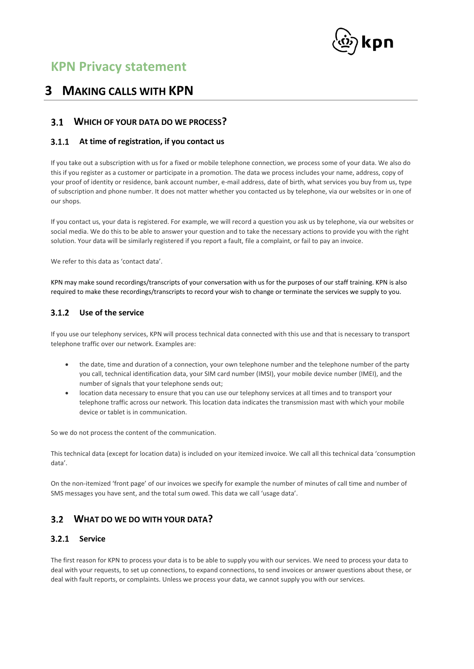

# <span id="page-3-0"></span>**3 MAKING CALLS WITH KPN**

# **WHICH OF YOUR DATA DO WE PROCESS?**

## <span id="page-3-1"></span>**At time of registration, if you contact us**

If you take out a subscription with us for a fixed or mobile telephone connection, we process some of your data. We also do this if you register as a customer or participate in a promotion. The data we process includes your name, address, copy of your proof of identity or residence, bank account number, e-mail address, date of birth, what services you buy from us, type of subscription and phone number. It does not matter whether you contacted us by telephone, via our websites or in one of our shops.

If you contact us, your data is registered. For example, we will record a question you ask us by telephone, via our websites or social media. We do this to be able to answer your question and to take the necessary actions to provide you with the right solution. Your data will be similarly registered if you report a fault, file a complaint, or fail to pay an invoice.

We refer to this data as 'contact data'.

KPN may make sound recordings/transcripts of your conversation with us for the purposes of our staff training. KPN is also required to make these recordings/transcripts to record your wish to change or terminate the services we supply to you.

## <span id="page-3-2"></span>**Use of the service**

If you use our telephony services, KPN will process technical data connected with this use and that is necessary to transport telephone traffic over our network. Examples are:

- the date, time and duration of a connection, your own telephone number and the telephone number of the party you call, technical identification data, your SIM card number (IMSI), your mobile device number (IMEI), and the number of signals that your telephone sends out;
- location data necessary to ensure that you can use our telephony services at all times and to transport your telephone traffic across our network. This location data indicates the transmission mast with which your mobile device or tablet is in communication.

So we do not process the content of the communication.

This technical data (except for location data) is included on your itemized invoice. We call all this technical data 'consumption data'.

On the non-itemized 'front page' of our invoices we specify for example the number of minutes of call time and number of SMS messages you have sent, and the total sum owed. This data we call 'usage data'.

# **WHAT DO WE DO WITH YOUR DATA?**

## <span id="page-3-3"></span>**Service**

The first reason for KPN to process your data is to be able to supply you with our services. We need to process your data to deal with your requests, to set up connections, to expand connections, to send invoices or answer questions about these, or deal with fault reports, or complaints. Unless we process your data, we cannot supply you with our services.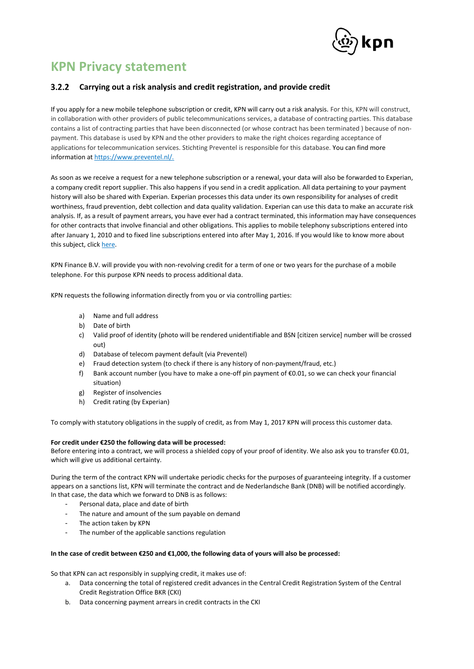

## <span id="page-4-0"></span>**Carrying out a risk analysis and credit registration, and provide credit**

If you apply for a new mobile telephone subscription or credit, KPN will carry out a risk analysis. For this, KPN will construct, in collaboration with other providers of public telecommunications services, a database of contracting parties. This database contains a list of contracting parties that have been disconnected (or whose contract has been terminated ) because of nonpayment. This database is used by KPN and the other providers to make the right choices regarding acceptance of applications for telecommunication services. Stichting Preventel is responsible for this database. You can find more information a[t https://www.preventel.nl/.](https://www.preventel.nl/)

As soon as we receive a request for a new telephone subscription or a renewal, your data will also be forwarded to Experian, a company credit report supplier. This also happens if you send in a credit application. All data pertaining to your payment history will also be shared with Experian. Experian processes this data under its own responsibility for analyses of credit worthiness, fraud prevention, debt collection and data quality validation. Experian can use this data to make an accurate risk analysis. If, as a result of payment arrears, you have ever had a contract terminated, this information may have consequences for other contracts that involve financial and other obligations. This applies to mobile telephony subscriptions entered into after January 1, 2010 and to fixed line subscriptions entered into after May 1, 2016. If you would like to know more about this subject, clic[k here.](#page-19-0)

KPN Finance B.V. will provide you with non-revolving credit for a term of one or two years for the purchase of a mobile telephone. For this purpose KPN needs to process additional data.

KPN requests the following information directly from you or via controlling parties:

- a) Name and full address
- b) Date of birth
- c) Valid proof of identity (photo will be rendered unidentifiable and BSN [citizen service] number will be crossed out)
- d) Database of telecom payment default (via Preventel)
- e) Fraud detection system (to check if there is any history of non-payment/fraud, etc.)
- f) Bank account number (you have to make a one-off pin payment of €0.01, so we can check your financial situation)
- g) Register of insolvencies
- h) Credit rating (by Experian)

To comply with statutory obligations in the supply of credit, as from May 1, 2017 KPN will process this customer data.

### **For credit under €250 the following data will be processed:**

Before entering into a contract, we will process a shielded copy of your proof of identity. We also ask you to transfer €0.01, which will give us additional certainty.

During the term of the contract KPN will undertake periodic checks for the purposes of guaranteeing integrity. If a customer appears on a sanctions list, KPN will terminate the contract and de Nederlandsche Bank (DNB) will be notified accordingly. In that case, the data which we forward to DNB is as follows:

- Personal data, place and date of birth
- The nature and amount of the sum payable on demand
- The action taken by KPN
- The number of the applicable sanctions regulation

### **In the case of credit between €250 and €1,000, the following data of yours will also be processed:**

So that KPN can act responsibly in supplying credit, it makes use of:

- a. Data concerning the total of registered credit advances in the Central Credit Registration System of the Central Credit Registration Office BKR (CKI)
- b. Data concerning payment arrears in credit contracts in the CKI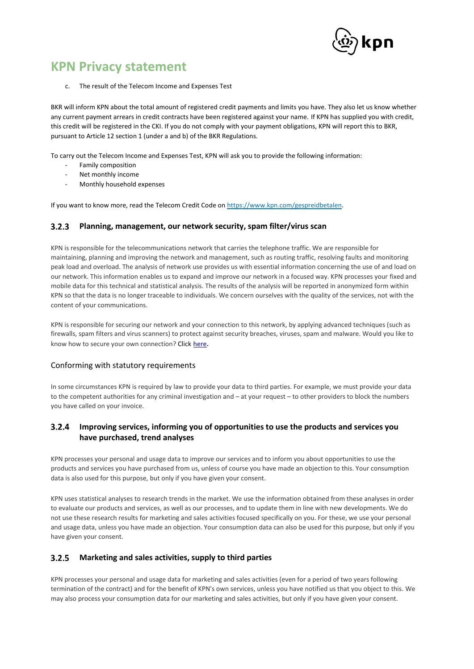

c. The result of the Telecom Income and Expenses Test

BKR will inform KPN about the total amount of registered credit payments and limits you have. They also let us know whether any current payment arrears in credit contracts have been registered against your name. If KPN has supplied you with credit, this credit will be registered in the CKI. If you do not comply with your payment obligations, KPN will report this to BKR, pursuant to Article 12 section 1 (under a and b) of the BKR Regulations.

To carry out the Telecom Income and Expenses Test, KPN will ask you to provide the following information:

- Family composition
- Net monthly income
- Monthly household expenses

If you want to know more, read the Telecom Credit Code o[n https://www.kpn.com/gespreidbetalen.](https://www.kpn.com/mobiel-abonnement/gespreid-betalen.htm)

#### <span id="page-5-0"></span> $3.2.3$ **Planning, management, our network security, spam filter/virus scan**

KPN is responsible for the telecommunications network that carries the telephone traffic. We are responsible for maintaining, planning and improving the network and management, such as routing traffic, resolving faults and monitoring peak load and overload. The analysis of network use provides us with essential information concerning the use of and load on our network. This information enables us to expand and improve our network in a focused way. KPN processes your fixed and mobile data for this technical and statistical analysis. The results of the analysis will be reported in anonymized form within KPN so that the data is no longer traceable to individuals. We concern ourselves with the quality of the services, not with the content of your communications.

<span id="page-5-1"></span>KPN is responsible for securing our network and your connection to this network, by applying advanced techniques (such as firewalls, spam filters and virus scanners) to protect against security breaches, viruses, spam and malware. Would you like to know how to secure your own connection? Click [here](http://www.kpn.com/prive/klantenservice/veilig-internetten.htm).

### Conforming with statutory requirements

In some circumstances KPN is required by law to provide your data to third parties. For example, we must provide your data to the competent authorities for any criminal investigation and – at your request – to other providers to block the numbers you have called on your invoice.

### <span id="page-5-2"></span> $3.2.4$ **Improving services, informing you of opportunities to use the products and services you have purchased, trend analyses**

KPN processes your personal and usage data to improve our services and to inform you about opportunities to use the products and services you have purchased from us, unless of course you have made an objection to this. Your consumption data is also used for this purpose, but only if you have given your consent.

KPN uses statistical analyses to research trends in the market. We use the information obtained from these analyses in order to evaluate our products and services, as well as our processes, and to update them in line with new developments. We do not use these research results for marketing and sales activities focused specifically on you. For these, we use your personal and usage data, unless you have made an objection. Your consumption data can also be used for this purpose, but only if you have given your consent.

#### <span id="page-5-3"></span> $3.2.5$ **Marketing and sales activities, supply to third parties**

KPN processes your personal and usage data for marketing and sales activities (even for a period of two years following termination of the contract) and for the benefit of KPN's own services, unless you have notified us that you object to this. We may also process your consumption data for our marketing and sales activities, but only if you have given your consent.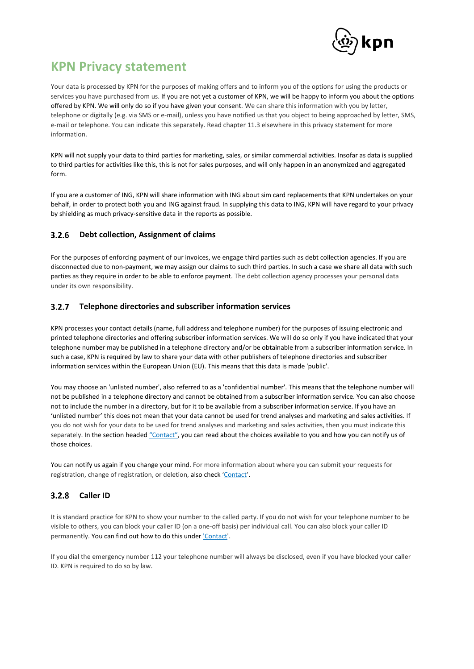

Your data is processed by KPN for the purposes of making offers and to inform you of the options for using the products or services you have purchased from us. If you are not yet a customer of KPN, we will be happy to inform you about the options offered by KPN. We will only do so if you have given your consent. We can share this information with you by letter, telephone or digitally (e.g. via SMS or e-mail), unless you have notified us that you object to being approached by letter, SMS, e-mail or telephone. You can indicate this separately. Read chapter 11.3 elsewhere in this privacy statement for more information.

KPN will not supply your data to third parties for marketing, sales, or similar commercial activities. Insofar as data is supplied to third parties for activities like this, this is not for sales purposes, and will only happen in an anonymized and aggregated form.

If you are a customer of ING, KPN will share information with ING about sim card replacements that KPN undertakes on your behalf, in order to protect both you and ING against fraud. In supplying this data to ING, KPN will have regard to your privacy by shielding as much privacy-sensitive data in the reports as possible.

#### $3.2.6$ **Debt collection, Assignment of claims**

For the purposes of enforcing payment of our invoices, we engage third parties such as debt collection agencies. If you are disconnected due to non-payment, we may assign our claims to such third parties. In such a case we share all data with such parties as they require in order to be able to enforce payment. The debt collection agency processes your personal data under its own responsibility.

#### $3.2.7$ **Telephone directories and subscriber information services**

KPN processes your contact details (name, full address and telephone number) for the purposes of issuing electronic and printed telephone directories and offering subscriber information services. We will do so only if you have indicated that your telephone number may be published in a telephone directory and/or be obtainable from a subscriber information service. In such a case, KPN is required by law to share your data with other publishers of telephone directories and subscriber information services within the European Union (EU). This means that this data is made 'public'.

You may choose an 'unlisted number', also referred to as a 'confidential number'. This means that the telephone number will not be published in a telephone directory and cannot be obtained from a subscriber information service. You can also choose not to include the number in a directory, but for it to be available from a subscriber information service. If you have an 'unlisted number' this does not mean that your data cannot be used for trend analyses and marketing and sales activities. If you do not wish for your data to be used for trend analyses and marketing and sales activities, then you must indicate this separately. In the section headed ["Contact"](#page-22-0), you can read about the choices available to you and how you can notify us of those choices.

You can notify us again if you change your mind. For more information about where you can submit your requests for registration, change of registration, or deletion, also check '[Contact](#page-22-0)'.

# **Caller ID**

It is standard practice for KPN to show your number to the called party. If you do not wish for your telephone number to be visible to others, you can block your caller ID (on a one-off basis) per individual call. You can also block your caller ID permanently. You can find out how to do this under ['Contact'.](#page-22-0)

If you dial the emergency number 112 your telephone number will always be disclosed, even if you have blocked your caller ID. KPN is required to do so by law.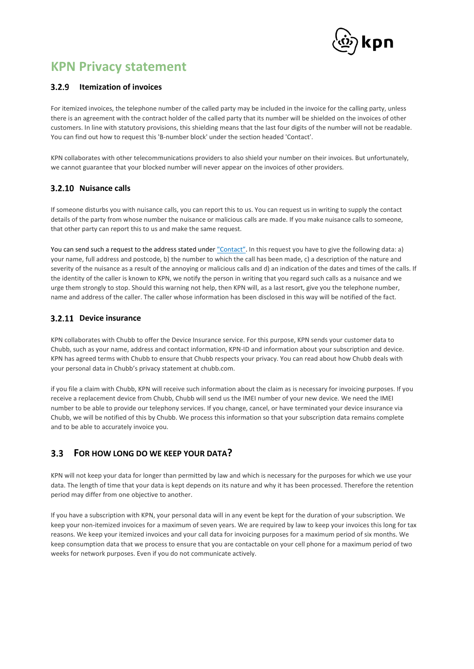

## **12.9** Itemization of invoices

For itemized invoices, the telephone number of the called party may be included in the invoice for the calling party, unless there is an agreement with the contract holder of the called party that its number will be shielded on the invoices of other customers. In line with statutory provisions, this shielding means that the last four digits of the number will not be readable. You can find out how to request this 'B-number block' under the section headed 'Contact'.

KPN collaborates with other telecommunications providers to also shield your number on their invoices. But unfortunately, we cannot guarantee that your blocked number will never appear on the invoices of other providers.

## **3.2.10 Nuisance calls**

If someone disturbs you with nuisance calls, you can report this to us. You can request us in writing to supply the contact details of the party from whose number the nuisance or malicious calls are made. If you make nuisance calls to someone, that other party can report this to us and make the same request.

You can send such a request to the address stated under ["Contact"](#page-22-0). In this request you have to give the following data: a) your name, full address and postcode, b) the number to which the call has been made, c) a description of the nature and severity of the nuisance as a result of the annoying or malicious calls and d) an indication of the dates and times of the calls. If the identity of the caller is known to KPN, we notify the person in writing that you regard such calls as a nuisance and we urge them strongly to stop. Should this warning not help, then KPN will, as a last resort, give you the telephone number, name and address of the caller. The caller whose information has been disclosed in this way will be notified of the fact.

## <span id="page-7-0"></span>**Device insurance**

KPN collaborates with Chubb to offer the Device Insurance service. For this purpose, KPN sends your customer data to Chubb, such as your name, address and contact information, KPN-ID and information about your subscription and device. KPN has agreed terms with Chubb to ensure that Chubb respects your privacy. You can read about how Chubb deals with your personal data in Chubb's privacy statement at chubb.com.

if you file a claim with Chubb, KPN will receive such information about the claim as is necessary for invoicing purposes. If you receive a replacement device from Chubb, Chubb will send us the IMEI number of your new device. We need the IMEI number to be able to provide our telephony services. If you change, cancel, or have terminated your device insurance via Chubb, we will be notified of this by Chubb. We process this information so that your subscription data remains complete and to be able to accurately invoice you.

### $3.3$ **FOR HOW LONG DO WE KEEP YOUR DATA?**

KPN will not keep your data for longer than permitted by law and which is necessary for the purposes for which we use your data. The length of time that your data is kept depends on its nature and why it has been processed. Therefore the retention period may differ from one objective to another.

If you have a subscription with KPN, your personal data will in any event be kept for the duration of your subscription. We keep your non-itemized invoices for a maximum of seven years. We are required by law to keep your invoices this long for tax reasons. We keep your itemized invoices and your call data for invoicing purposes for a maximum period of six months. We keep consumption data that we process to ensure that you are contactable on your cell phone for a maximum period of two weeks for network purposes. Even if you do not communicate actively.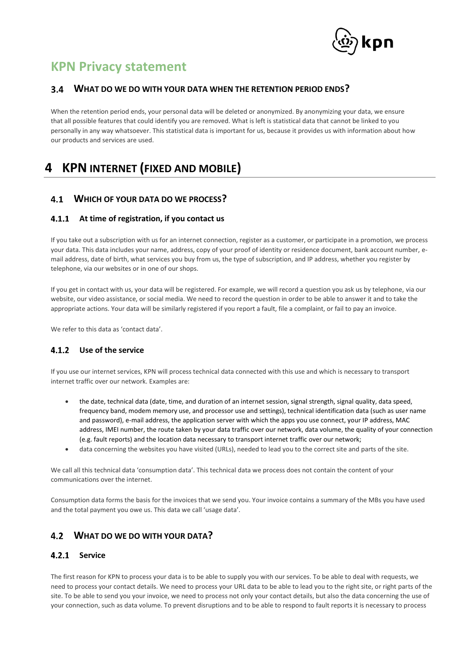

## **WHAT DO WE DO WITH YOUR DATA WHEN THE RETENTION PERIOD ENDS?**

When the retention period ends, your personal data will be deleted or anonymized. By anonymizing your data, we ensure that all possible features that could identify you are removed. What is left is statistical data that cannot be linked to you personally in any way whatsoever. This statistical data is important for us, because it provides us with information about how our products and services are used.

# <span id="page-8-0"></span>**4 KPN INTERNET (FIXED AND MOBILE)**

# **WHICH OF YOUR DATA DO WE PROCESS?**

## <span id="page-8-1"></span>**At time of registration, if you contact us**

If you take out a subscription with us for an internet connection, register as a customer, or participate in a promotion, we process your data. This data includes your name, address, copy of your proof of identity or residence document, bank account number, email address, date of birth, what services you buy from us, the type of subscription, and IP address, whether you register by telephone, via our websites or in one of our shops.

If you get in contact with us, your data will be registered. For example, we will record a question you ask us by telephone, via our website, our video assistance, or social media. We need to record the question in order to be able to answer it and to take the appropriate actions. Your data will be similarly registered if you report a fault, file a complaint, or fail to pay an invoice.

We refer to this data as 'contact data'.

## <span id="page-8-2"></span>**Use of the service**

If you use our internet services, KPN will process technical data connected with this use and which is necessary to transport internet traffic over our network. Examples are:

- the date, technical data (date, time, and duration of an internet session, signal strength, signal quality, data speed, frequency band, modem memory use, and processor use and settings), technical identification data (such as user name and password), e-mail address, the application server with which the apps you use connect, your IP address, MAC address, IMEI number, the route taken by your data traffic over our network, data volume, the quality of your connection (e.g. fault reports) and the location data necessary to transport internet traffic over our network;
- data concerning the websites you have visited (URLs), needed to lead you to the correct site and parts of the site.

We call all this technical data 'consumption data'. This technical data we process does not contain the content of your communications over the internet.

Consumption data forms the basis for the invoices that we send you. Your invoice contains a summary of the MBs you have used and the total payment you owe us. This data we call 'usage data'.

# **WHAT DO WE DO WITH YOUR DATA?**

## <span id="page-8-3"></span>4.2.1 Service

The first reason for KPN to process your data is to be able to supply you with our services. To be able to deal with requests, we need to process your contact details. We need to process your URL data to be able to lead you to the right site, or right parts of the site. To be able to send you your invoice, we need to process not only your contact details, but also the data concerning the use of your connection, such as data volume. To prevent disruptions and to be able to respond to fault reports it is necessary to process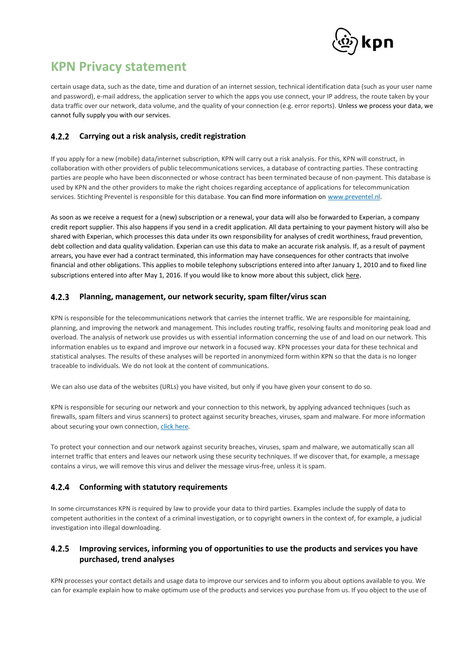

certain usage data, such as the date, time and duration of an internet session, technical identification data (such as your user name and password), e-mail address, the application server to which the apps you use connect, your IP address, the route taken by your data traffic over our network, data volume, and the quality of your connection (e.g. error reports). Unless we process your data, we cannot fully supply you with our services.

#### $4.2.2$ **Carrying out a risk analysis, credit registration**

If you apply for a new (mobile) data/internet subscription, KPN will carry out a risk analysis. For this, KPN will construct, in collaboration with other providers of public telecommunications services, a database of contracting parties. These contracting parties are people who have been disconnected or whose contract has been terminated because of non-payment. This database is used by KPN and the other providers to make the right choices regarding acceptance of applications for telecommunication services. Stichting Preventel is responsible for this database. You can find more information on [www.preventel.nl.](file:///C:/dennis_local/PrivacyOffice/Statement_Privacy/2021_updates/2021_02/www.preventel.nl)

As soon as we receive a request for a (new) subscription or a renewal, your data will also be forwarded to Experian, a company credit report supplier. This also happens if you send in a credit application. All data pertaining to your payment history will also be shared with Experian, which processes this data under its own responsibility for analyses of credit worthiness, fraud prevention, debt collection and data quality validation. Experian can use this data to make an accurate risk analysis. If, as a result of payment arrears, you have ever had a contract terminated, this information may have consequences for other contracts that involve financial and other obligations. This applies to mobile telephony subscriptions entered into after January 1, 2010 and to fixed line subscriptions entered into after May 1, 2016. If you would like to know more about this subject, click [here](#page-19-0).

#### <span id="page-9-0"></span> $4.2.3$ **Planning, management, our network security, spam filter/virus scan**

KPN is responsible for the telecommunications network that carries the internet traffic. We are responsible for maintaining, planning, and improving the network and management. This includes routing traffic, resolving faults and monitoring peak load and overload. The analysis of network use provides us with essential information concerning the use of and load on our network. This information enables us to expand and improve our network in a focused way. KPN processes your data for these technical and statistical analyses. The results of these analyses will be reported in anonymized form within KPN so that the data is no longer traceable to individuals. We do not look at the content of communications.

We can also use data of the websites (URLs) you have visited, but only if you have given your consent to do so.

KPN is responsible for securing our network and your connection to this network, by applying advanced techniques (such as firewalls, spam filters and virus scanners) to protect against security breaches, viruses, spam and malware. For more information about securing your own connection, [click here.](http://www.kpn.com/prive/klantenservice/veilig-internetten.htm)

To protect your connection and our network against security breaches, viruses, spam and malware, we automatically scan all internet traffic that enters and leaves our network using these security techniques. If we discover that, for example, a message contains a virus, we will remove this virus and deliver the message virus-free, unless it is spam.

### <span id="page-9-2"></span>**Conforming with statutory requirements**  $4.2.4$

In some circumstances KPN is required by law to provide your data to third parties. Examples include the supply of data to competent authorities in the context of a criminal investigation, or to copyright owners in the context of, for example, a judicial investigation into illegal downloading.

### <span id="page-9-1"></span> $4.2.5$ **Improving services, informing you of opportunities to use the products and services you have purchased, trend analyses**

KPN processes your contact details and usage data to improve our services and to inform you about options available to you. We can for example explain how to make optimum use of the products and services you purchase from us. If you object to the use of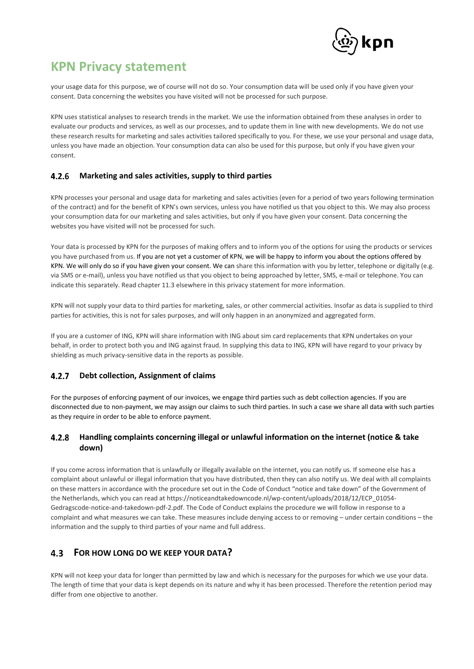

your usage data for this purpose, we of course will not do so. Your consumption data will be used only if you have given your consent. Data concerning the websites you have visited will not be processed for such purpose.

KPN uses statistical analyses to research trends in the market. We use the information obtained from these analyses in order to evaluate our products and services, as well as our processes, and to update them in line with new developments. We do not use these research results for marketing and sales activities tailored specifically to you. For these, we use your personal and usage data, unless you have made an objection. Your consumption data can also be used for this purpose, but only if you have given your consent.

#### <span id="page-10-0"></span>4.2.6 **Marketing and sales activities, supply to third parties**

KPN processes your personal and usage data for marketing and sales activities (even for a period of two years following termination of the contract) and for the benefit of KPN's own services, unless you have notified us that you object to this. We may also process your consumption data for our marketing and sales activities, but only if you have given your consent. Data concerning the websites you have visited will not be processed for such.

Your data is processed by KPN for the purposes of making offers and to inform you of the options for using the products or services you have purchased from us. If you are not yet a customer of KPN, we will be happy to inform you about the options offered by KPN. We will only do so if you have given your consent. We can share this information with you by letter, telephone or digitally (e.g. via SMS or e-mail), unless you have notified us that you object to being approached by letter, SMS, e-mail or telephone. You can indicate this separately. Read chapter 11.3 elsewhere in this privacy statement for more information.

KPN will not supply your data to third parties for marketing, sales, or other commercial activities. Insofar as data is supplied to third parties for activities, this is not for sales purposes, and will only happen in an anonymized and aggregated form.

If you are a customer of ING, KPN will share information with ING about sim card replacements that KPN undertakes on your behalf, in order to protect both you and ING against fraud. In supplying this data to ING, KPN will have regard to your privacy by shielding as much privacy-sensitive data in the reports as possible.

#### $4.2.7$ **Debt collection, Assignment of claims**

For the purposes of enforcing payment of our invoices, we engage third parties such as debt collection agencies. If you are disconnected due to non-payment, we may assign our claims to such third parties. In such a case we share all data with such parties as they require in order to be able to enforce payment.

### **Handling complaints concerning illegal or unlawful information on the internet (notice & take**   $4.2.8$ **down)**

If you come across information that is unlawfully or illegally available on the internet, you can notify us. If someone else has a complaint about unlawful or illegal information that you have distributed, then they can also notify us. We deal with all complaints on these matters in accordance with the procedure set out in the Code of Conduct "notice and take down" of the Government of the Netherlands, which you can read at https://noticeandtakedowncode.nl/wp-content/uploads/2018/12/ECP\_01054- Gedragscode-notice-and-takedown-pdf-2.pdf. The Code of Conduct explains the procedure we will follow in response to a complaint and what measures we can take. These measures include denying access to or removing – under certain conditions – the information and the supply to third parties of your name and full address.

### $4.3$ **FOR HOW LONG DO WE KEEP YOUR DATA?**

KPN will not keep your data for longer than permitted by law and which is necessary for the purposes for which we use your data. The length of time that your data is kept depends on its nature and why it has been processed. Therefore the retention period may differ from one objective to another.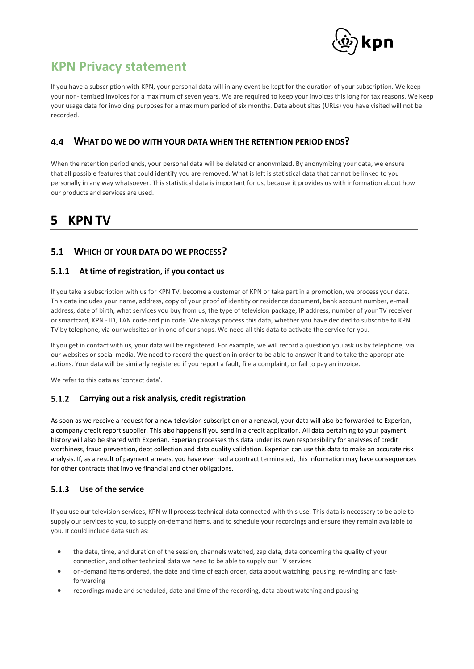

If you have a subscription with KPN, your personal data will in any event be kept for the duration of your subscription. We keep your non-itemized invoices for a maximum of seven years. We are required to keep your invoices this long for tax reasons. We keep your usage data for invoicing purposes for a maximum period of six months. Data about sites (URLs) you have visited will not be recorded.

### 4.4 **WHAT DO WE DO WITH YOUR DATA WHEN THE RETENTION PERIOD ENDS?**

When the retention period ends, your personal data will be deleted or anonymized. By anonymizing your data, we ensure that all possible features that could identify you are removed. What is left is statistical data that cannot be linked to you personally in any way whatsoever. This statistical data is important for us, because it provides us with information about how our products and services are used.

# <span id="page-11-0"></span>**5 KPN TV**

# **WHICH OF YOUR DATA DO WE PROCESS?**

## **At time of registration, if you contact us**

If you take a subscription with us for KPN TV, become a customer of KPN or take part in a promotion, we process your data. This data includes your name, address, copy of your proof of identity or residence document, bank account number, e-mail address, date of birth, what services you buy from us, the type of television package, IP address, number of your TV receiver or smartcard, KPN - ID, TAN code and pin code. We always process this data, whether you have decided to subscribe to KPN TV by telephone, via our websites or in one of our shops. We need all this data to activate the service for you.

If you get in contact with us, your data will be registered. For example, we will record a question you ask us by telephone, via our websites or social media. We need to record the question in order to be able to answer it and to take the appropriate actions. Your data will be similarly registered if you report a fault, file a complaint, or fail to pay an invoice.

We refer to this data as 'contact data'.

### **Carrying out a risk analysis, credit registration**  $5.1.2$

As soon as we receive a request for a new television subscription or a renewal, your data will also be forwarded to Experian, a company credit report supplier. This also happens if you send in a credit application. All data pertaining to your payment history will also be shared with Experian. Experian processes this data under its own responsibility for analyses of credit worthiness, fraud prevention, debt collection and data quality validation. Experian can use this data to make an accurate risk analysis. If, as a result of payment arrears, you have ever had a contract terminated, this information may have consequences for other contracts that involve financial and other obligations.

### $5.1.3$ **Use of the service**

If you use our television services, KPN will process technical data connected with this use. This data is necessary to be able to supply our services to you, to supply on-demand items, and to schedule your recordings and ensure they remain available to you. It could include data such as:

- the date, time, and duration of the session, channels watched, zap data, data concerning the quality of your connection, and other technical data we need to be able to supply our TV services
- on-demand items ordered, the date and time of each order, data about watching, pausing, re-winding and fastforwarding
- recordings made and scheduled, date and time of the recording, data about watching and pausing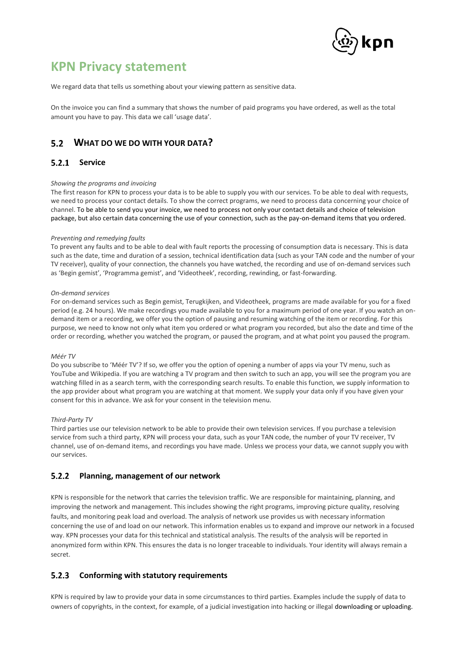

We regard data that tells us something about your viewing pattern as sensitive data.

On the invoice you can find a summary that shows the number of paid programs you have ordered, as well as the total amount you have to pay. This data we call 'usage data'.

# **WHAT DO WE DO WITH YOUR DATA?**

## 5.2.1 Service

### *Showing the programs and invoicing*

The first reason for KPN to process your data is to be able to supply you with our services. To be able to deal with requests, we need to process your contact details. To show the correct programs, we need to process data concerning your choice of channel. To be able to send you your invoice, we need to process not only your contact details and choice of television package, but also certain data concerning the use of your connection, such as the pay-on-demand items that you ordered.

### *Preventing and remedying faults*

To prevent any faults and to be able to deal with fault reports the processing of consumption data is necessary. This is data such as the date, time and duration of a session, technical identification data (such as your TAN code and the number of your TV receiver), quality of your connection, the channels you have watched, the recording and use of on-demand services such as 'Begin gemist', 'Programma gemist', and 'Videotheek', recording, rewinding, or fast-forwarding.

### *On-demand services*

For on-demand services such as Begin gemist, Terugkijken, and Videotheek, programs are made available for you for a fixed period (e.g. 24 hours). We make recordings you made available to you for a maximum period of one year. If you watch an ondemand item or a recording, we offer you the option of pausing and resuming watching of the item or recording. For this purpose, we need to know not only what item you ordered or what program you recorded, but also the date and time of the order or recording, whether you watched the program, or paused the program, and at what point you paused the program.

### *Méér TV*

Do you subscribe to 'Méér TV'? If so, we offer you the option of opening a number of apps via your TV menu, such as YouTube and Wikipedia. If you are watching a TV program and then switch to such an app, you will see the program you are watching filled in as a search term, with the corresponding search results. To enable this function, we supply information to the app provider about what program you are watching at that moment. We supply your data only if you have given your consent for this in advance. We ask for your consent in the television menu.

### *Third-Party TV*

Third parties use our television network to be able to provide their own television services. If you purchase a television service from such a third party, KPN will process your data, such as your TAN code, the number of your TV receiver, TV channel, use of on-demand items, and recordings you have made. Unless we process your data, we cannot supply you with our services.

#### $5.2.2$ **Planning, management of our network**

KPN is responsible for the network that carries the television traffic. We are responsible for maintaining, planning, and improving the network and management. This includes showing the right programs, improving picture quality, resolving faults, and monitoring peak load and overload. The analysis of network use provides us with necessary information concerning the use of and load on our network. This information enables us to expand and improve our network in a focused way. KPN processes your data for this technical and statistical analysis. The results of the analysis will be reported in anonymized form within KPN. This ensures the data is no longer traceable to individuals. Your identity will always remain a secret.

#### $5.2.3$ **Conforming with statutory requirements**

KPN is required by law to provide your data in some circumstances to third parties. Examples include the supply of data to owners of copyrights, in the context, for example, of a judicial investigation into hacking or illegal downloading or uploading.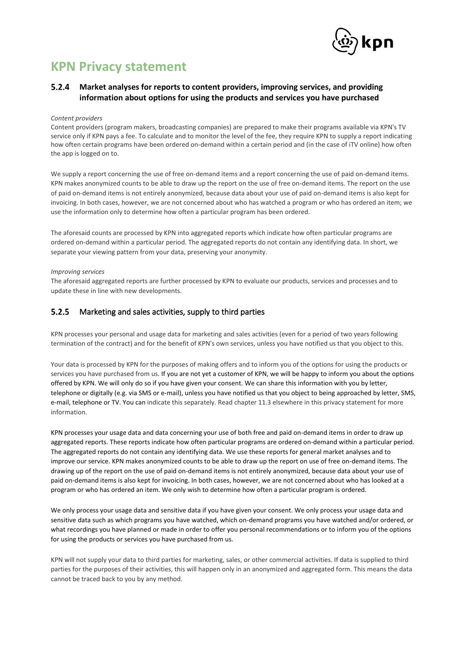

### $5.2.4$ **Market analyses for reports to content providers, improving services, and providing information about options for using the products and services you have purchased**

### *Content providers*

Content providers (program makers, broadcasting companies) are prepared to make their programs available via KPN's TV service only if KPN pays a fee. To calculate and to monitor the level of the fee, they require KPN to supply a report indicating how often certain programs have been ordered on-demand within a certain period and (in the case of iTV online) how often the app is logged on to.

We supply a report concerning the use of free on-demand items and a report concerning the use of paid on-demand items. KPN makes anonymized counts to be able to draw up the report on the use of free on-demand items. The report on the use of paid on-demand items is not entirely anonymized, because data about your use of paid on-demand items is also kept for invoicing. In both cases, however, we are not concerned about who has watched a program or who has ordered an item; we use the information only to determine how often a particular program has been ordered.

The aforesaid counts are processed by KPN into aggregated reports which indicate how often particular programs are ordered on-demand within a particular period. The aggregated reports do not contain any identifying data. In short, we separate your viewing pattern from your data, preserving your anonymity.

### *Improving services*

The aforesaid aggregated reports are further processed by KPN to evaluate our products, services and processes and to update these in line with new developments.

#### $5.2.5$ Marketing and sales activities, supply to third parties

KPN processes your personal and usage data for marketing and sales activities (even for a period of two years following termination of the contract) and for the benefit of KPN's own services, unless you have notified us that you object to this.

Your data is processed by KPN for the purposes of making offers and to inform you of the options for using the products or services you have purchased from us. If you are not yet a customer of KPN, we will be happy to inform you about the options offered by KPN. We will only do so if you have given your consent. We can share this information with you by letter, telephone or digitally (e.g. via SMS or e-mail), unless you have notified us that you object to being approached by letter, SMS, e-mail, telephone or TV. You can indicate this separately. Read chapter 11.3 elsewhere in this privacy statement for more information.

KPN processes your usage data and data concerning your use of both free and paid on-demand items in order to draw up aggregated reports. These reports indicate how often particular programs are ordered on-demand within a particular period. The aggregated reports do not contain any identifying data. We use these reports for general market analyses and to improve our service. KPN makes anonymized counts to be able to draw up the report on use of free on-demand items. The drawing up of the report on the use of paid on-demand items is not entirely anonymized, because data about your use of paid on-demand items is also kept for invoicing. In both cases, however, we are not concerned about who has looked at a program or who has ordered an item. We only wish to determine how often a particular program is ordered.

We only process your usage data and sensitive data if you have given your consent. We only process your usage data and sensitive data such as which programs you have watched, which on-demand programs you have watched and/or ordered, or what recordings you have planned or made in order to offer you personal recommendations or to inform you of the options for using the products or services you have purchased from us.

KPN will not supply your data to third parties for marketing, sales, or other commercial activities. If data is supplied to third parties for the purposes of their activities, this will happen only in an anonymized and aggregated form. This means the data cannot be traced back to you by any method.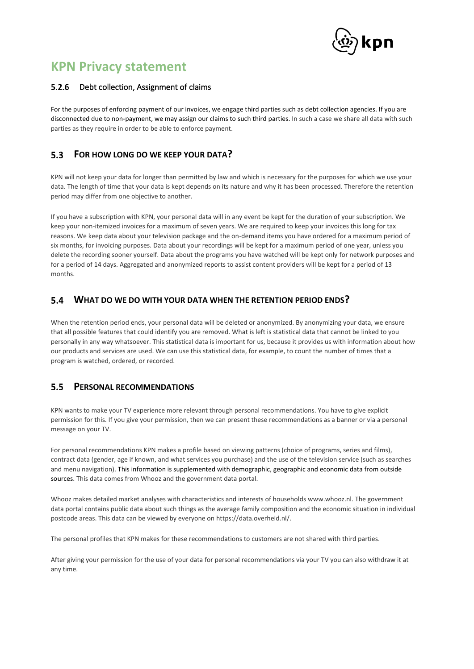

#### $5.2.6$ Debt collection, Assignment of claims

For the purposes of enforcing payment of our invoices, we engage third parties such as debt collection agencies. If you are disconnected due to non-payment, we may assign our claims to such third parties. In such a case we share all data with such parties as they require in order to be able to enforce payment.

### $5.3$ **FOR HOW LONG DO WE KEEP YOUR DATA?**

KPN will not keep your data for longer than permitted by law and which is necessary for the purposes for which we use your data. The length of time that your data is kept depends on its nature and why it has been processed. Therefore the retention period may differ from one objective to another.

If you have a subscription with KPN, your personal data will in any event be kept for the duration of your subscription. We keep your non-itemized invoices for a maximum of seven years. We are required to keep your invoices this long for tax reasons. We keep data about your television package and the on-demand items you have ordered for a maximum period of six months, for invoicing purposes. Data about your recordings will be kept for a maximum period of one year, unless you delete the recording sooner yourself. Data about the programs you have watched will be kept only for network purposes and for a period of 14 days. Aggregated and anonymized reports to assist content providers will be kept for a period of 13 months.

### <span id="page-14-0"></span> $5.4$ **WHAT DO WE DO WITH YOUR DATA WHEN THE RETENTION PERIOD ENDS?**

When the retention period ends, your personal data will be deleted or anonymized. By anonymizing your data, we ensure that all possible features that could identify you are removed. What is left is statistical data that cannot be linked to you personally in any way whatsoever. This statistical data is important for us, because it provides us with information about how our products and services are used. We can use this statistical data, for example, to count the number of times that a program is watched, ordered, or recorded.

### $5.5$ **PERSONAL RECOMMENDATIONS**

KPN wants to make your TV experience more relevant through personal recommendations. You have to give explicit permission for this. If you give your permission, then we can present these recommendations as a banner or via a personal message on your TV.

For personal recommendations KPN makes a profile based on viewing patterns (choice of programs, series and films), contract data (gender, age if known, and what services you purchase) and the use of the television service (such as searches and menu navigation). This information is supplemented with demographic, geographic and economic data from outside sources. This data comes from Whooz and the government data portal.

Whooz makes detailed market analyses with characteristics and interests of households [www.whooz.nl.](http://www.whooz.nl/) The government data portal contains public data about such things as the average family composition and the economic situation in individual postcode areas. This data can be viewed by everyone on [https://data.overheid.nl/.](https://data.overheid.nl/)

The personal profiles that KPN makes for these recommendations to customers are not shared with third parties.

After giving your permission for the use of your data for personal recommendations via your TV you can also withdraw it at any time.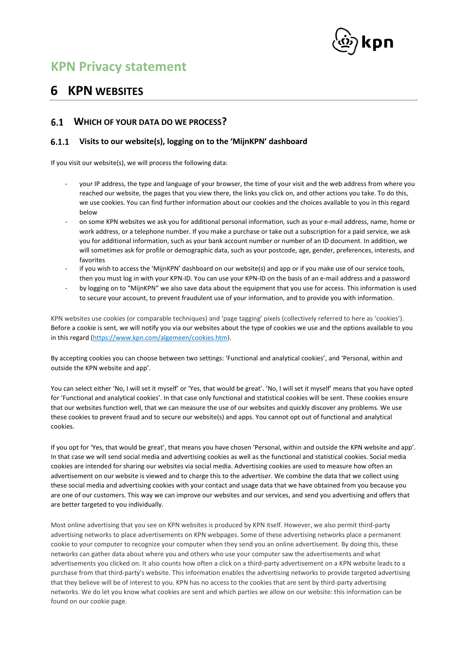

# <span id="page-15-0"></span>**6 KPN WEBSITES**

### **WHICH OF YOUR DATA DO WE PROCESS?**  $6.1$

#### <span id="page-15-1"></span> $6.1.1$ **Visits to our website(s), logging on to the 'MijnKPN' dashboard**

If you visit our website(s), we will process the following data:

- your IP address, the type and language of your browser, the time of your visit and the web address from where you reached our website, the pages that you view there, the links you click on, and other actions you take. To do this, we use cookies. You can find further information about our cookies and the choices available to you in this regard below
- on some KPN websites we ask you for additional personal information, such as your e-mail address, name, home or work address, or a telephone number. If you make a purchase or take out a subscription for a paid service, we ask you for additional information, such as your bank account number or number of an ID document. In addition, we will sometimes ask for profile or demographic data, such as your postcode, age, gender, preferences, interests, and favorites
- if you wish to access the 'MijnKPN' dashboard on our website(s) and app or if you make use of our service tools, then you must log in with your KPN-ID. You can use your KPN-ID on the basis of an e-mail address and a password
- by logging on to "MijnKPN" we also save data about the equipment that you use for access. This information is used to secure your account, to prevent fraudulent use of your information, and to provide you with information.

<span id="page-15-2"></span>KPN websites use cookies (or comparable techniques) and 'page tagging' pixels (collectively referred to here as 'cookies'). Before a cookie is sent, we will notify you via our websites about the type of cookies we use and the options available to you in this regard [\(https://www.kpn.com/algemeen/cookies.htm\)](https://www.kpn.com/algemeen/cookies.htm).

By accepting cookies you can choose between two settings: 'Functional and analytical cookies', and 'Personal, within and outside the KPN website and app'.

You can select either 'No, I will set it myself' or 'Yes, that would be great'. 'No, I will set it myself' means that you have opted for 'Functional and analytical cookies'. In that case only functional and statistical cookies will be sent. These cookies ensure that our websites function well, that we can measure the use of our websites and quickly discover any problems. We use these cookies to prevent fraud and to secure our website(s) and apps. You cannot opt out of functional and analytical cookies.

If you opt for 'Yes, that would be great', that means you have chosen 'Personal, within and outside the KPN website and app'. In that case we will send social media and advertising cookies as well as the functional and statistical cookies. Social media cookies are intended for sharing our websites via social media. Advertising cookies are used to measure how often an advertisement on our website is viewed and to charge this to the advertiser. We combine the data that we collect using these social media and advertising cookies with your contact and usage data that we have obtained from you because you are one of our customers. This way we can improve our websites and our services, and send you advertising and offers that are better targeted to you individually.

Most online advertising that you see on KPN websites is produced by KPN itself. However, we also permit third-party advertising networks to place advertisements on KPN webpages. Some of these advertising networks place a permanent cookie to your computer to recognize your computer when they send you an online advertisement. By doing this, these networks can gather data about where you and others who use your computer saw the advertisements and what advertisements you clicked on. It also counts how often a click on a third-party advertisement on a KPN website leads to a purchase from that third-party's website. This information enables the advertising networks to provide targeted advertising that they believe will be of interest to you. KPN has no access to the cookies that are sent by third-party advertising networks. We do let you know what cookies are sent and which parties we allow on our website: this information can be found on our cookie page.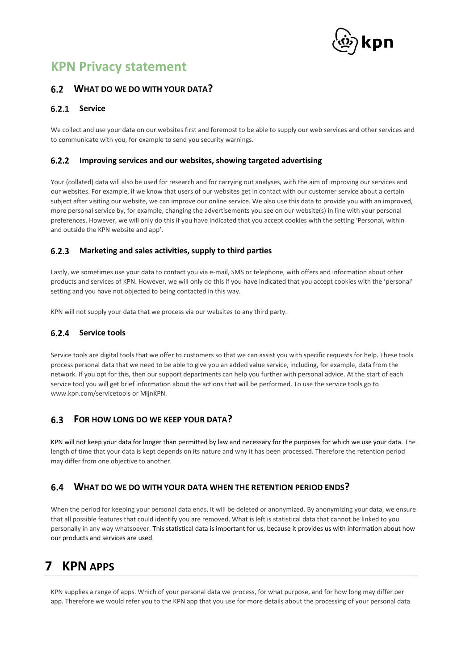

# **WHAT DO WE DO WITH YOUR DATA?**

#### <span id="page-16-2"></span> $6.2.1$ **Service**

We collect and use your data on our websites first and foremost to be able to supply our web services and other services and to communicate with you, for example to send you security warnings.

#### <span id="page-16-3"></span> $6.2.2$ **Improving services and our websites, showing targeted advertising**

Your (collated) data will also be used for research and for carrying out analyses, with the aim of improving our services and our websites. For example, if we know that users of our websites get in contact with our customer service about a certain subject after visiting our website, we can improve our online service. We also use this data to provide you with an improved, more personal service by, for example, changing the advertisements you see on our website(s) in line with your personal preferences. However, we will only do this if you have indicated that you accept cookies with the setting 'Personal, within and outside the KPN website and app'.

#### <span id="page-16-1"></span> $6.2.3$ **Marketing and sales activities, supply to third parties**

Lastly, we sometimes use your data to contact you via e-mail, SMS or telephone, with offers and information about other products and services of KPN. However, we will only do this if you have indicated that you accept cookies with the 'personal' setting and you have not objected to being contacted in this way.

KPN will not supply your data that we process via our websites to any third party.

## **Service tools**

Service tools are digital tools that we offer to customers so that we can assist you with specific requests for help. These tools process personal data that we need to be able to give you an added value service, including, for example, data from the network. If you opt for this, then our support departments can help you further with personal advice. At the start of each service tool you will get brief information about the actions that will be performed. To use the service tools go to www.kpn.com/servicetools or MijnKPN.

### $6.3$ **FOR HOW LONG DO WE KEEP YOUR DATA?**

KPN will not keep your data for longer than permitted by law and necessary for the purposes for which we use your data. The length of time that your data is kept depends on its nature and why it has been processed. Therefore the retention period may differ from one objective to another.

### $6.4$ **WHAT DO WE DO WITH YOUR DATA WHEN THE RETENTION PERIOD ENDS?**

When the period for keeping your personal data ends, it will be deleted or anonymized. By anonymizing your data, we ensure that all possible features that could identify you are removed. What is left is statistical data that cannot be linked to you personally in any way whatsoever. This statistical data is important for us, because it provides us with information about how our products and services are used.

# <span id="page-16-0"></span>**7 KPN APPS**

KPN supplies a range of apps. Which of your personal data we process, for what purpose, and for how long may differ per app. Therefore we would refer you to the KPN app that you use for more details about the processing of your personal data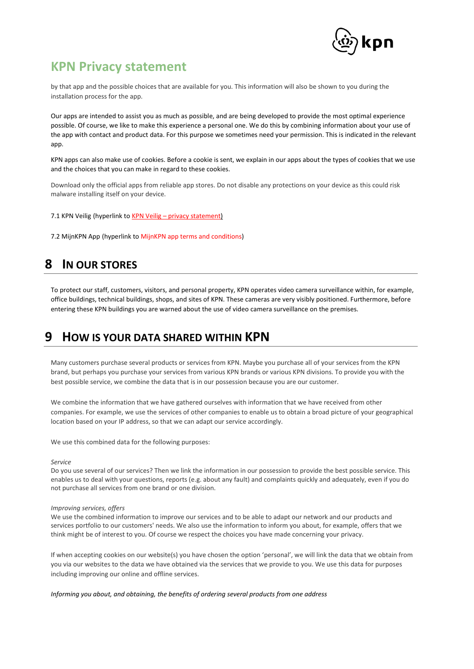

by that app and the possible choices that are available for you. This information will also be shown to you during the installation process for the app.

Our apps are intended to assist you as much as possible, and are being developed to provide the most optimal experience possible. Of course, we like to make this experience a personal one. We do this by combining information about your use of the app with contact and product data. For this purpose we sometimes need your permission. This is indicated in the relevant app.

KPN apps can also make use of cookies. Before a cookie is sent, we explain in our apps about the types of cookies that we use and the choices that you can make in regard to these cookies.

Download only the official apps from reliable app stores. Do not disable any protections on your device as this could risk malware installing itself on your device.

7.1 KPN Veilig (hyperlink to KPN Veilig – [privacy statement\)](https://www.kpn.com/algemeen/missie-en-privacy-statement/privacy-statement/kpnveilig.htm)

7.2 MijnKPN App (hyperlink to [MijnKPN app terms and conditions\)](https://www.kpn.com/algemeen/alle-voorwaarden/mijnkpn-app-voorwaarden.htm)

# <span id="page-17-0"></span>**8 IN OUR STORES**

To protect our staff, customers, visitors, and personal property, KPN operates video camera surveillance within, for example, office buildings, technical buildings, shops, and sites of KPN. These cameras are very visibly positioned. Furthermore, before entering these KPN buildings you are warned about the use of video camera surveillance on the premises.

# <span id="page-17-1"></span>**9 HOW IS YOUR DATA SHARED WITHIN KPN**

Many customers purchase several products or services from KPN. Maybe you purchase all of your services from the KPN brand, but perhaps you purchase your services from various KPN brands or various KPN divisions. To provide you with the best possible service, we combine the data that is in our possession because you are our customer.

We combine the information that we have gathered ourselves with information that we have received from other companies. For example, we use the services of other companies to enable us to obtain a broad picture of your geographical location based on your IP address, so that we can adapt our service accordingly.

We use this combined data for the following purposes:

### *Service*

Do you use several of our services? Then we link the information in our possession to provide the best possible service. This enables us to deal with your questions, reports (e.g. about any fault) and complaints quickly and adequately, even if you do not purchase all services from one brand or one division.

### *Improving services, offers*

We use the combined information to improve our services and to be able to adapt our network and our products and services portfolio to our customers' needs. We also use the information to inform you about, for example, offers that we think might be of interest to you. Of course we respect the choices you have made concerning your privacy.

If when accepting cookies on our website(s) you have chosen the option 'personal', we will link the data that we obtain from you via our websites to the data we have obtained via the services that we provide to you. We use this data for purposes including improving our online and offline services.

*Informing you about, and obtaining, the benefits of ordering several products from one address*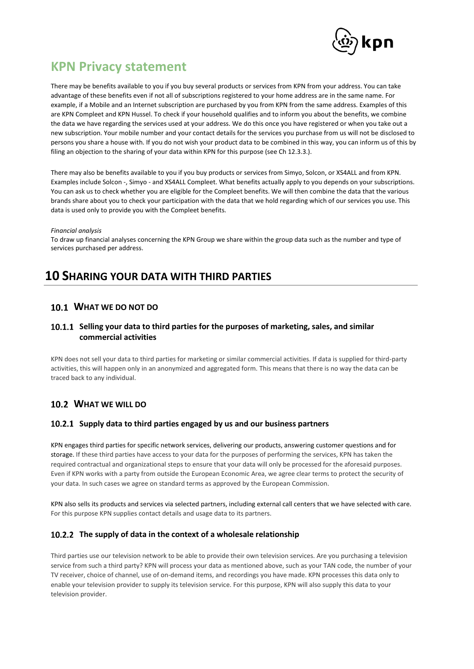

There may be benefits available to you if you buy several products or services from KPN from your address. You can take advantage of these benefits even if not all of subscriptions registered to your home address are in the same name. For example, if a Mobile and an Internet subscription are purchased by you from KPN from the same address. Examples of this are KPN Compleet and KPN Hussel. To check if your household qualifies and to inform you about the benefits, we combine the data we have regarding the services used at your address. We do this once you have registered or when you take out a new subscription. Your mobile number and your contact details for the services you purchase from us will not be disclosed to persons you share a house with. If you do not wish your product data to be combined in this way, you can inform us of this by filing an objection to the sharing of your data within KPN for this purpose (see Ch 12.3.3.).

There may also be benefits available to you if you buy products or services from Simyo, Solcon, or XS4ALL and from KPN. Examples include Solcon -, Simyo - and XS4ALL Compleet. What benefits actually apply to you depends on your subscriptions. You can ask us to check whether you are eligible for the Compleet benefits. We will then combine the data that the various brands share about you to check your participation with the data that we hold regarding which of our services you use. This data is used only to provide you with the Compleet benefits.

### *Financial analysis*

To draw up financial analyses concerning the KPN Group we share within the group data such as the number and type of services purchased per address.

# <span id="page-18-0"></span>**10 SHARING YOUR DATA WITH THIRD PARTIES**

## **WHAT WE DO NOT DO**

## **Selling your data to third parties for the purposes of marketing, sales, and similar commercial activities**

KPN does not sell your data to third parties for marketing or similar commercial activities. If data is supplied for third-party activities, this will happen only in an anonymized and aggregated form. This means that there is no way the data can be traced back to any individual.

# **WHAT WE WILL DO**

### **Supply data to third parties engaged by us and our business partners**

KPN engages third parties for specific network services, delivering our products, answering customer questions and for storage. If these third parties have access to your data for the purposes of performing the services, KPN has taken the required contractual and organizational steps to ensure that your data will only be processed for the aforesaid purposes. Even if KPN works with a party from outside the European Economic Area, we agree clear terms to protect the security of your data. In such cases we agree on standard terms as approved by the European Commission.

KPN also sells its products and services via selected partners, including external call centers that we have selected with care. For this purpose KPN supplies contact details and usage data to its partners.

## **The supply of data in the context of a wholesale relationship**

Third parties use our television network to be able to provide their own television services. Are you purchasing a television service from such a third party? KPN will process your data as mentioned above, such as your TAN code, the number of your TV receiver, choice of channel, use of on-demand items, and recordings you have made. KPN processes this data only to enable your television provider to supply its television service. For this purpose, KPN will also supply this data to your television provider.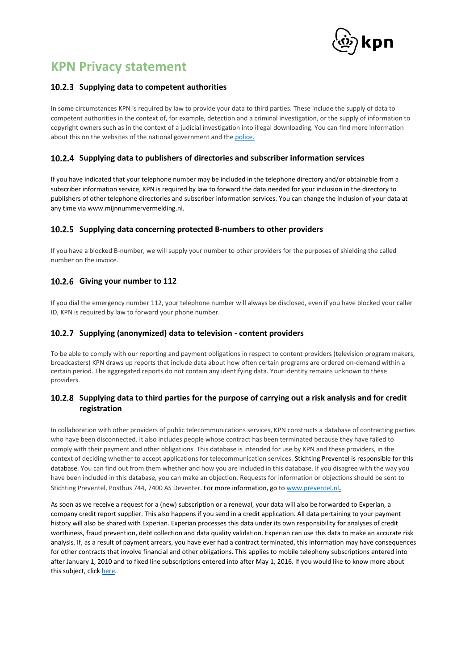

### 10.2.3 Supplying data to competent authorities

In some circumstances KPN is required by law to provide your data to third parties. These include the supply of data to competent authorities in the context of, for example, detection and a criminal investigation, or the supply of information to copyright owners such as in the context of a judicial investigation into illegal downloading. You can find more information about this on the websites of the national government and th[e police.](https://www.rijksoverheid.nl/onderwerpen/telecomgegevens-voor-opsporing/telecomgegevens-gebruiken-voor-opsporing#:~:text=Het%20Centraal%20Informatiepunt%20Onderzoek%20Telecommunicatie,van%20de%20telecom%2D%20en%20internetproviders.&text=Bevoegde%20opsporingsdiensten%20kunnen%20de%20klantgegevens,een%20geautomatiseerd%20informatiesysteem%20(CIS))

## **Supplying data to publishers of directories and subscriber information services**

If you have indicated that your telephone number may be included in the telephone directory and/or obtainable from a subscriber information service, KPN is required by law to forward the data needed for your inclusion in the directory to publishers of other telephone directories and subscriber information services. You can change the inclusion of your data at any time via www.mijnnummervermelding.nl.

### **Supplying data concerning protected B-numbers to other providers**

If you have a blocked B-number, we will supply your number to other providers for the purposes of shielding the called number on the invoice.

### **Giving your number to 112**

If you dial the emergency number 112, your telephone number will always be disclosed, even if you have blocked your caller ID, KPN is required by law to forward your phone number.

### **Supplying (anonymized) data to television - content providers**

To be able to comply with our reporting and payment obligations in respect to content providers (television program makers, broadcasters) KPN draws up reports that include data about how often certain programs are ordered on-demand within a certain period. The aggregated reports do not contain any identifying data. Your identity remains unknown to these providers.

## <span id="page-19-0"></span>**Supplying data to third parties for the purpose of carrying out a risk analysis and for credit registration**

In collaboration with other providers of public telecommunications services, KPN constructs a database of contracting parties who have been disconnected. It also includes people whose contract has been terminated because they have failed to comply with their payment and other obligations. This database is intended for use by KPN and these providers, in the context of deciding whether to accept applications for telecommunication services. Stichting Preventel is responsible for this database. You can find out from them whether and how you are included in this database. If you disagree with the way you have been included in this database, you can make an objection. Requests for information or objections should be sent to Stichting Preventel, Postbus 744, 7400 AS Deventer. For more information, go t[o www.preventel.nl](http://www.preventel.nl/).

As soon as we receive a request for a (new) subscription or a renewal, your data will also be forwarded to Experian, a company credit report supplier. This also happens if you send in a credit application. All data pertaining to your payment history will also be shared with Experian. Experian processes this data under its own responsibility for analyses of credit worthiness, fraud prevention, debt collection and data quality validation. Experian can use this data to make an accurate risk analysis. If, as a result of payment arrears, you have ever had a contract terminated, this information may have consequences for other contracts that involve financial and other obligations. This applies to mobile telephony subscriptions entered into after January 1, 2010 and to fixed line subscriptions entered into after May 1, 2016. If you would like to know more about this subject, clic[k here.](#page-19-0)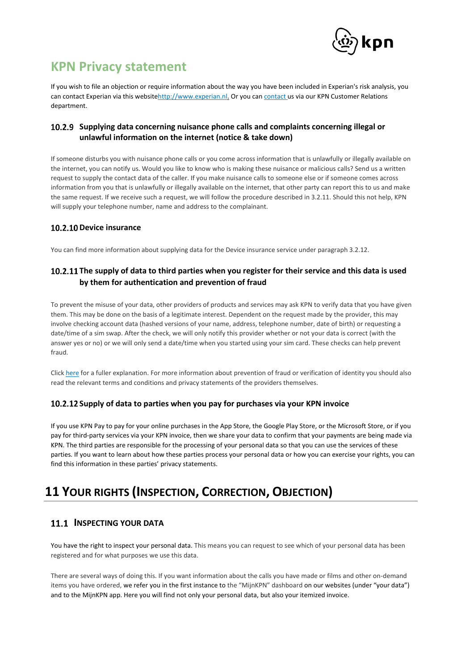

If you wish to file an objection or require information about the way you have been included in Experian's risk analysis, you can contact Experian via this websit[ehttp://www.experian.nl.](http://www.experian.nl/) Or you ca[n contact u](#page-22-0)s via our KPN Customer Relations department.

## **Supplying data concerning nuisance phone calls and complaints concerning illegal or unlawful information on the internet (notice & take down)**

If someone disturbs you with nuisance phone calls or you come across information that is unlawfully or illegally available on the internet, you can notify us. Would you like to know who is making these nuisance or malicious calls? Send us a written request to supply the contact data of the caller. If you make nuisance calls to someone else or if someone comes across information from you that is unlawfully or illegally available on the internet, that other party can report this to us and make the same request. If we receive such a request, we will follow the procedure described in 3.2.11. Should this not help, KPN will supply your telephone number, name and address to the complainant.

# **10.2.10 Device insurance**

You can find more information about supplying data for the Device insurance service unde[r paragraph 3.2.12.](#page-7-0)

# **The supply of data to third parties when you register for their service and this data is used by them for authentication and prevention of fraud**

To prevent the misuse of your data, other providers of products and services may ask KPN to verify data that you have given them. This may be done on the basis of a legitimate interest. Dependent on the request made by the provider, this may involve checking account data (hashed versions of your name, address, telephone number, date of birth) or requesting a date/time of a sim swap. After the check, we will only notify this provider whether or not your data is correct (with the answer yes or no) or we will only send a date/time when you started using your sim card. These checks can help prevent fraud.

Clic[k here](https://www.kpn.com/algemeen/missie-en-privacy-statement/fraudebestrijding.htm) for a fuller explanation. For more information about prevention of fraud or verification of identity you should also read the relevant terms and conditions and privacy statements of the providers themselves.

## **Supply of data to parties when you pay for purchases via your KPN invoice**

If you use KPN Pay to pay for your online purchases in the App Store, the Google Play Store, or the Microsoft Store, or if you pay for third-party services via your KPN invoice, then we share your data to confirm that your payments are being made via KPN. The third parties are responsible for the processing of your personal data so that you can use the services of these parties. If you want to learn about how these parties process your personal data or how you can exercise your rights, you can find this information in these parties' privacy statements.

# <span id="page-20-0"></span>**11 YOUR RIGHTS (INSPECTION, CORRECTION, OBJECTION)**

# <span id="page-20-1"></span>**11.1 INSPECTING YOUR DATA**

You have the right to inspect your personal data. This means you can request to see which of your personal data has been registered and for what purposes we use this data.

There are several ways of doing this. If you want information about the calls you have made or films and other on-demand items you have ordered, we refer you in the first instance to the "MijnKPN" dashboard on our websites (under "your data") and to the MijnKPN app. Here you will find not only your personal data, but also your itemized invoice.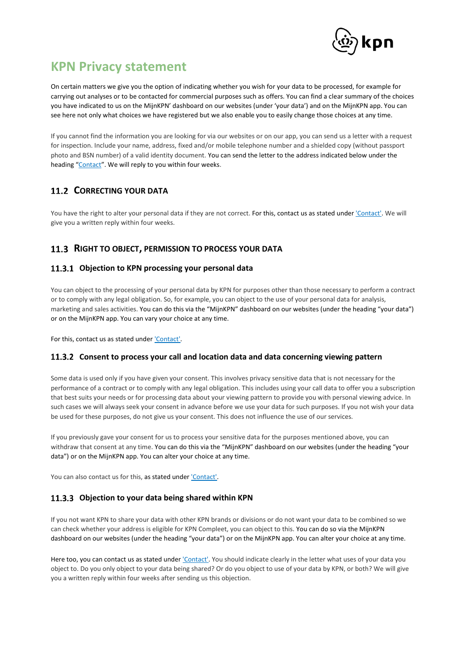

On certain matters we give you the option of indicating whether you wish for your data to be processed, for example for carrying out analyses or to be contacted for commercial purposes such as offers. You can find a clear summary of the choices you have indicated to us on the MijnKPN' dashboard on our websites (under 'your data') and on the MijnKPN app. You can see here not only what choices we have registered but we also enable you to easily change those choices at any time.

If you cannot find the information you are looking for via our websites or on our app, you can send us a letter with a request for inspection. Include your name, address, fixed and/or mobile telephone number and a shielded copy (without passport photo and BSN number) of a valid identity document. You can send the letter to the address indicated below under the heading "[Contact](#page-22-0)". We will reply to you within four weeks.

# **11.2 CORRECTING YOUR DATA**

You have the right to alter your personal data if they are not correct. For this, contact us as stated under ['Contact'.](#page-22-0) We will give you a written reply within four weeks.

# <span id="page-21-0"></span>**RIGHT TO OBJECT, PERMISSION TO PROCESS YOUR DATA**

### **Objection to KPN processing your personal data**

You can object to the processing of your personal data by KPN for purposes other than those necessary to perform a contract or to comply with any legal obligation. So, for example, you can object to the use of your personal data for analysis, marketing and sales activities. You can do this via the "MijnKPN" dashboard on our websites (under the heading "your data") or on the MijnKPN app. You can vary your choice at any time.

For this, contact us as stated under ['Contact'.](#page-22-0)

## **Consent to process your call and location data and data concerning viewing pattern**

Some data is used only if you have given your consent. This involves privacy sensitive data that is not necessary for the performance of a contract or to comply with any legal obligation. This includes using your call data to offer you a subscription that best suits your needs or for processing data about your viewing pattern to provide you with personal viewing advice. In such cases we will always seek your consent in advance before we use your data for such purposes. If you not wish your data be used for these purposes, do not give us your consent. This does not influence the use of our services.

If you previously gave your consent for us to process your sensitive data for the purposes mentioned above, you can withdraw that consent at any time. You can do this via the "MijnKPN" dashboard on our websites (under the heading "your data") or on the MijnKPN app. You can alter your choice at any time.

You can also contact us for this, as stated unde[r 'Contact'.](#page-22-0)

## **Objection to your data being shared within KPN**

If you not want KPN to share your data with other KPN brands or divisions or do not want your data to be combined so we can check whether your address is eligible for KPN Compleet, you can object to this. You can do so via the MijnKPN dashboard on our websites (under the heading "your data") or on the MijnKPN app. You can alter your choice at any time.

Here too, you can contact us as stated unde[r 'Contact'.](#page-22-0) You should indicate clearly in the letter what uses of your data you object to. Do you only object to your data being shared? Or do you object to use of your data by KPN, or both? We will give you a written reply within four weeks after sending us this objection.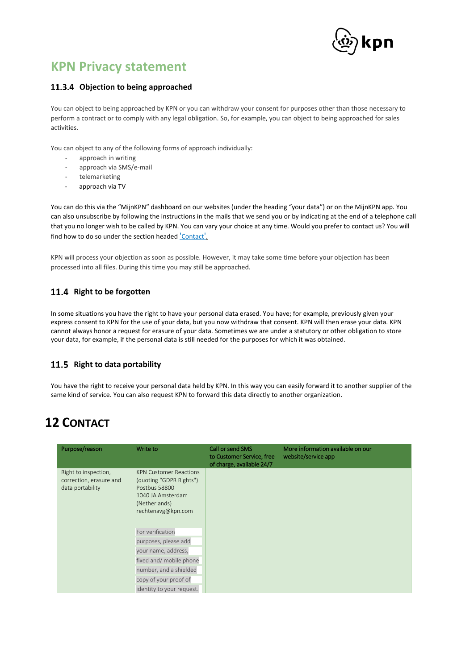

## **Objection to being approached**

You can object to being approached by KPN or you can withdraw your consent for purposes other than those necessary to perform a contract or to comply with any legal obligation. So, for example, you can object to being approached for sales activities.

You can object to any of the following forms of approach individually:

- approach in writing
- approach via SMS/e-mail
- telemarketing
- approach via TV

You can do this via the "MijnKPN" dashboard on our websites (under the heading "your data") or on the MijnKPN app. You can also unsubscribe by following the instructions in the mails that we send you or by indicating at the end of a telephone call that you no longer wish to be called by KPN. You can vary your choice at any time. Would you prefer to contact us? You will find how to do so under the section headed '[Contact](#page-22-0)'.

KPN will process your objection as soon as possible. However, it may take some time before your objection has been processed into all files. During this time you may still be approached.

# 11.4 Right to be forgotten

In some situations you have the right to have your personal data erased. You have; for example, previously given your express consent to KPN for the use of your data, but you now withdraw that consent. KPN will then erase your data. KPN cannot always honor a request for erasure of your data. Sometimes we are under a statutory or other obligation to store your data, for example, if the personal data is still needed for the purposes for which it was obtained.

## 11.5 Right to data portability

You have the right to receive your personal data held by KPN. In this way you can easily forward it to another supplier of the same kind of service. You can also request KPN to forward this data directly to another organization.

# <span id="page-22-0"></span>**12 CONTACT**

| Purpose/reason                                                      | Write to                                                                                                                              | Call or send SMS<br>to Customer Service, free<br>of charge, available 24/7 | More information available on our<br>website/service app |
|---------------------------------------------------------------------|---------------------------------------------------------------------------------------------------------------------------------------|----------------------------------------------------------------------------|----------------------------------------------------------|
| Right to inspection,<br>correction, erasure and<br>data portability | <b>KPN Customer Reactions</b><br>(quoting "GDPR Rights")<br>Postbus 58800<br>1040 JA Amsterdam<br>(Netherlands)<br>rechtenavg@kpn.com |                                                                            |                                                          |
|                                                                     | For verification                                                                                                                      |                                                                            |                                                          |
|                                                                     | purposes, please add                                                                                                                  |                                                                            |                                                          |
|                                                                     | your name, address,                                                                                                                   |                                                                            |                                                          |
|                                                                     | fixed and/ mobile phone                                                                                                               |                                                                            |                                                          |
|                                                                     | number, and a shielded                                                                                                                |                                                                            |                                                          |
|                                                                     | copy of your proof of                                                                                                                 |                                                                            |                                                          |
|                                                                     | identity to your request.                                                                                                             |                                                                            |                                                          |